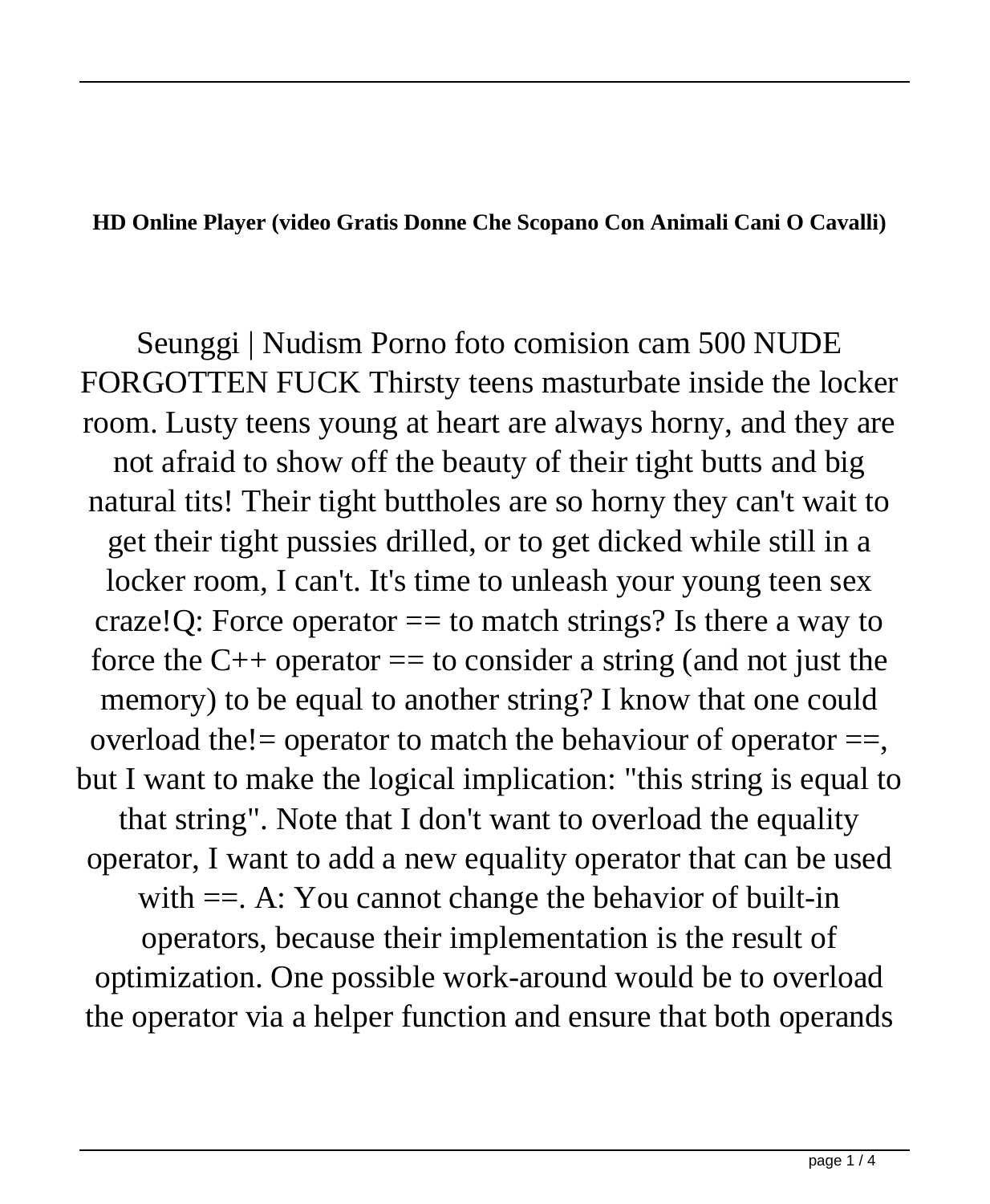**HD Online Player (video Gratis Donne Che Scopano Con Animali Cani O Cavalli)**

Seunggi | Nudism Porno foto comision cam 500 NUDE FORGOTTEN FUCK Thirsty teens masturbate inside the locker room. Lusty teens young at heart are always horny, and they are not afraid to show off the beauty of their tight butts and big natural tits! Their tight buttholes are so horny they can't wait to get their tight pussies drilled, or to get dicked while still in a locker room, I can't. It's time to unleash your young teen sex craze! $Q$ : Force operator  $==$  to match strings? Is there a way to force the  $C_{++}$  operator  $==$  to consider a string (and not just the memory) to be equal to another string? I know that one could overload the!= operator to match the behaviour of operator  $==$ , but I want to make the logical implication: "this string is equal to that string". Note that I don't want to overload the equality operator, I want to add a new equality operator that can be used with  $==.$  A: You cannot change the behavior of built-in operators, because their implementation is the result of optimization. One possible work-around would be to overload the operator via a helper function and ensure that both operands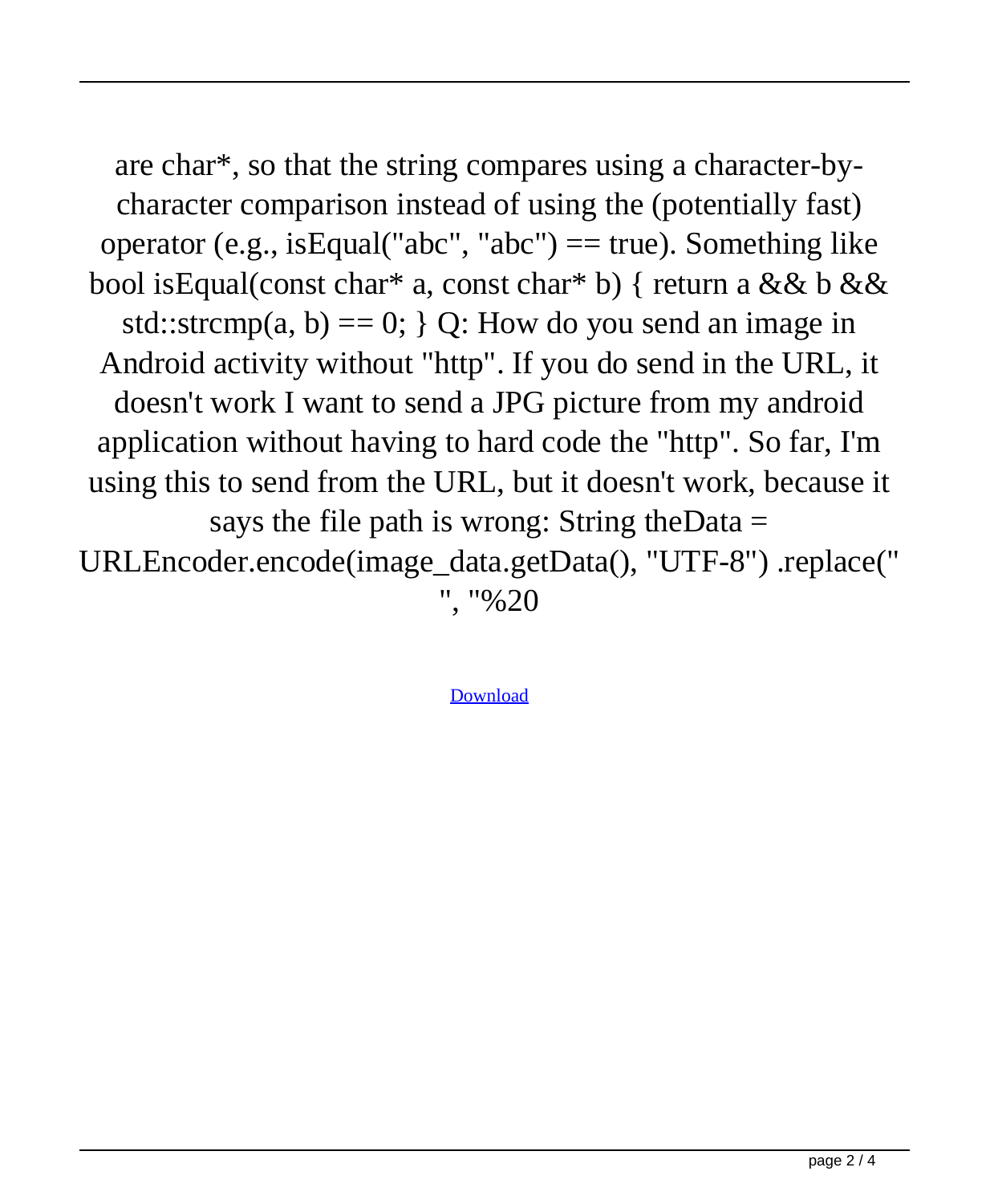are char\*, so that the string compares using a character-bycharacter comparison instead of using the (potentially fast) operator (e.g., is Equal ("abc", "abc") == true). Something like bool is Equal(const char<sup>\*</sup> a, const char<sup>\*</sup> b) { return a && b && std::strcmp(a, b) = 0; } Q: How do you send an image in Android activity without "http". If you do send in the URL, it doesn't work I want to send a JPG picture from my android application without having to hard code the "http". So far, I'm using this to send from the URL, but it doesn't work, because it says the file path is wrong: String the Data  $=$ URLEncoder.encode(image\_data.getData(), "UTF-8") .replace(" ", "%20

[Download](http://evacdir.com/ZG93bmxvYWR8WjZFTW5ob2ZId3hOalV5TkRZek1EVXdmSHd5TlRjMGZId29UU2tnY21WaFpDMWliRzluSUZ0R1lYTjBJRWRGVGww.edtv/porterhouse/exceed/mathnasium.pentathlon/recovering/SEQgT25saW5lIFBsYXllciAodmlkZW8gZ3JhdGlzIGRvbm5lIGNoZSBzY29wYW5vIGNvbiBhbmltYWxpIGNhbmkgbyBjYXZhbGxpKQSEQ)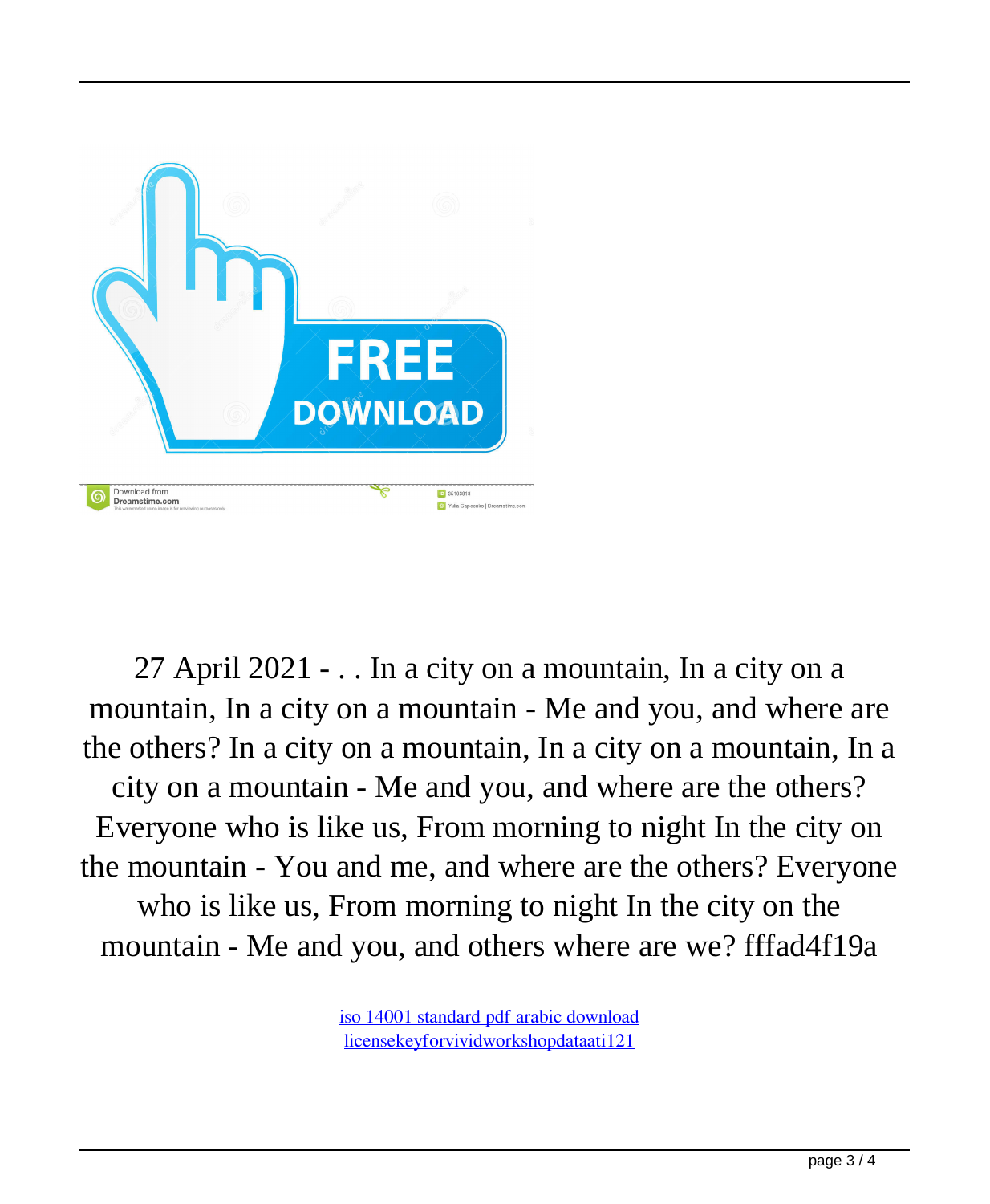

27 April 2021 - . . In a city on a mountain, In a city on a mountain, In a city on a mountain - Me and you, and where are the others? In a city on a mountain, In a city on a mountain, In a city on a mountain - Me and you, and where are the others? Everyone who is like us, From morning to night In the city on the mountain - You and me, and where are the others? Everyone who is like us, From morning to night In the city on the mountain - Me and you, and others where are we? fffad4f19a

> [iso 14001 standard pdf arabic download](https://docs.google.com/viewerng/viewer?url=corosocial.com/upload/files/2022/05/CghZiVvXljOZLYnQN6G1_13_08992b0cf22104c642aee935e05e50f5_file.pdf) [licensekeyforvividworkshopdataati121](https://docs.google.com/viewerng/viewer?url=together-19.com/upload/files/2022/05/US7cC1y8p4dDUIuyyJCm_13_7c1d4a217406f004b09f21ab293c334e_file.pdf)